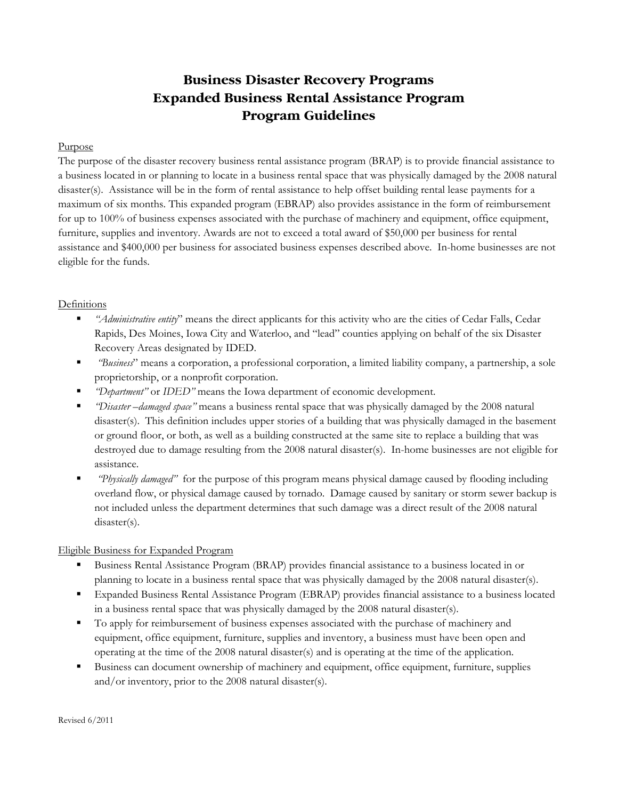# **Business Disaster Recovery Programs Expanded Business Rental Assistance Program Program Guidelines**

### Purpose

The purpose of the disaster recovery business rental assistance program (BRAP) is to provide financial assistance to a business located in or planning to locate in a business rental space that was physically damaged by the 2008 natural disaster(s). Assistance will be in the form of rental assistance to help offset building rental lease payments for a maximum of six months. This expanded program (EBRAP) also provides assistance in the form of reimbursement for up to 100% of business expenses associated with the purchase of machinery and equipment, office equipment, furniture, supplies and inventory. Awards are not to exceed a total award of \$50,000 per business for rental assistance and \$400,000 per business for associated business expenses described above. In-home businesses are not eligible for the funds.

## **Definitions**

- *"Administrative entity*" means the direct applicants for this activity who are the cities of Cedar Falls, Cedar Rapids, Des Moines, Iowa City and Waterloo, and "lead" counties applying on behalf of the six Disaster Recovery Areas designated by IDED.
- *"Business*" means a corporation, a professional corporation, a limited liability company, a partnership, a sole proprietorship, or a nonprofit corporation.
- *"Department"* or *IDED"* means the Iowa department of economic development.
- *"Disaster –damaged space"* means a business rental space that was physically damaged by the 2008 natural disaster(s). This definition includes upper stories of a building that was physically damaged in the basement or ground floor, or both, as well as a building constructed at the same site to replace a building that was destroyed due to damage resulting from the 2008 natural disaster(s). In-home businesses are not eligible for assistance.
- *"Physically damaged"* for the purpose of this program means physical damage caused by flooding including overland flow, or physical damage caused by tornado. Damage caused by sanitary or storm sewer backup is not included unless the department determines that such damage was a direct result of the 2008 natural disaster(s).

## Eligible Business for Expanded Program

- Business Rental Assistance Program (BRAP) provides financial assistance to a business located in or planning to locate in a business rental space that was physically damaged by the 2008 natural disaster(s).
- Expanded Business Rental Assistance Program (EBRAP) provides financial assistance to a business located in a business rental space that was physically damaged by the 2008 natural disaster(s).
- To apply for reimbursement of business expenses associated with the purchase of machinery and equipment, office equipment, furniture, supplies and inventory, a business must have been open and operating at the time of the 2008 natural disaster(s) and is operating at the time of the application.
- Business can document ownership of machinery and equipment, office equipment, furniture, supplies and/or inventory, prior to the 2008 natural disaster(s).

Revised 6/2011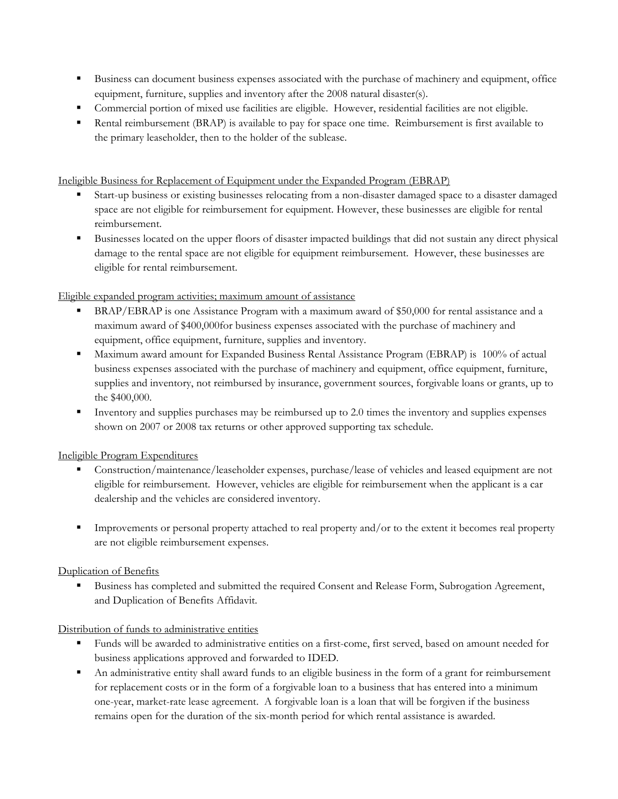- Business can document business expenses associated with the purchase of machinery and equipment, office equipment, furniture, supplies and inventory after the 2008 natural disaster(s).
- Commercial portion of mixed use facilities are eligible. However, residential facilities are not eligible.
- Rental reimbursement (BRAP) is available to pay for space one time. Reimbursement is first available to the primary leaseholder, then to the holder of the sublease.

Ineligible Business for Replacement of Equipment under the Expanded Program (EBRAP)

- Start-up business or existing businesses relocating from a non-disaster damaged space to a disaster damaged space are not eligible for reimbursement for equipment. However, these businesses are eligible for rental reimbursement.
- Businesses located on the upper floors of disaster impacted buildings that did not sustain any direct physical damage to the rental space are not eligible for equipment reimbursement. However, these businesses are eligible for rental reimbursement.

Eligible expanded program activities; maximum amount of assistance

- BRAP/EBRAP is one Assistance Program with a maximum award of \$50,000 for rental assistance and a maximum award of \$400,000for business expenses associated with the purchase of machinery and equipment, office equipment, furniture, supplies and inventory.
- Maximum award amount for Expanded Business Rental Assistance Program (EBRAP) is 100% of actual business expenses associated with the purchase of machinery and equipment, office equipment, furniture, supplies and inventory, not reimbursed by insurance, government sources, forgivable loans or grants, up to the \$400,000.
- Inventory and supplies purchases may be reimbursed up to  $2.0$  times the inventory and supplies expenses shown on 2007 or 2008 tax returns or other approved supporting tax schedule.

Ineligible Program Expenditures

- Construction/maintenance/leaseholder expenses, purchase/lease of vehicles and leased equipment are not eligible for reimbursement. However, vehicles are eligible for reimbursement when the applicant is a car dealership and the vehicles are considered inventory.
- Improvements or personal property attached to real property and/or to the extent it becomes real property are not eligible reimbursement expenses.

## Duplication of Benefits

 Business has completed and submitted the required Consent and Release Form, Subrogation Agreement, and Duplication of Benefits Affidavit.

## Distribution of funds to administrative entities

- Funds will be awarded to administrative entities on a first-come, first served, based on amount needed for business applications approved and forwarded to IDED.
- An administrative entity shall award funds to an eligible business in the form of a grant for reimbursement for replacement costs or in the form of a forgivable loan to a business that has entered into a minimum one-year, market-rate lease agreement. A forgivable loan is a loan that will be forgiven if the business remains open for the duration of the six-month period for which rental assistance is awarded.